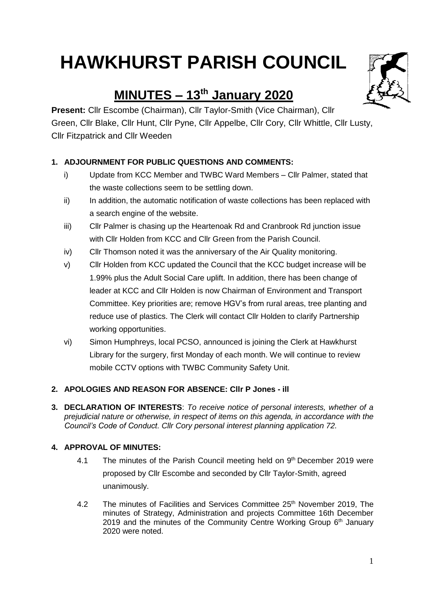# **HAWKHURST PARISH COUNCIL**

## **MINUTES – 13th January 2020**

**Present:** Cllr Escombe (Chairman), Cllr Taylor-Smith (Vice Chairman), Cllr Green, Cllr Blake, Cllr Hunt, Cllr Pyne, Cllr Appelbe, Cllr Cory, Cllr Whittle, Cllr Lusty, Cllr Fitzpatrick and Cllr Weeden

## **1. ADJOURNMENT FOR PUBLIC QUESTIONS AND COMMENTS:**

- i) Update from KCC Member and TWBC Ward Members Cllr Palmer, stated that the waste collections seem to be settling down.
- ii) In addition, the automatic notification of waste collections has been replaced with a search engine of the website.
- iii) Cllr Palmer is chasing up the Heartenoak Rd and Cranbrook Rd junction issue with Cllr Holden from KCC and Cllr Green from the Parish Council.
- iv) Cllr Thomson noted it was the anniversary of the Air Quality monitoring.
- v) Cllr Holden from KCC updated the Council that the KCC budget increase will be 1.99% plus the Adult Social Care uplift. In addition, there has been change of leader at KCC and Cllr Holden is now Chairman of Environment and Transport Committee. Key priorities are; remove HGV's from rural areas, tree planting and reduce use of plastics. The Clerk will contact Cllr Holden to clarify Partnership working opportunities.
- vi) Simon Humphreys, local PCSO, announced is joining the Clerk at Hawkhurst Library for the surgery, first Monday of each month. We will continue to review mobile CCTV options with TWBC Community Safety Unit.

## **2. APOLOGIES AND REASON FOR ABSENCE: Cllr P Jones - ill**

**3. DECLARATION OF INTERESTS**: *To receive notice of personal interests, whether of a prejudicial nature or otherwise, in respect of items on this agenda, in accordance with the Council's Code of Conduct. Cllr Cory personal interest planning application 72.*

## **4. APPROVAL OF MINUTES:**

- 4.1 The minutes of the Parish Council meeting held on 9th December 2019 were proposed by Cllr Escombe and seconded by Cllr Taylor-Smith, agreed unanimously.
- 4.2 The minutes of Facilities and Services Committee 25<sup>th</sup> November 2019, The minutes of Strategy, Administration and projects Committee 16th December 2019 and the minutes of the Community Centre Working Group 6<sup>th</sup> January 2020 were noted.



1

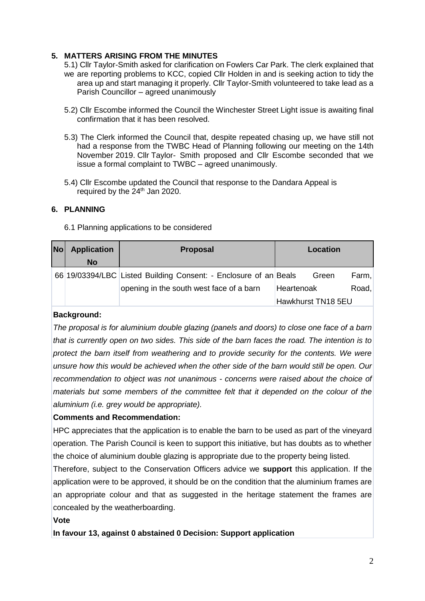## **5. MATTERS ARISING FROM THE MINUTES**

- 5.1) Cllr Taylor-Smith asked for clarification on Fowlers Car Park. The clerk explained that we are reporting problems to KCC, copied Cllr Holden in and is seeking action to tidy the area up and start managing it properly. Cllr Taylor-Smith volunteered to take lead as a Parish Councillor – agreed unanimously
- 5.2) Cllr Escombe informed the Council the Winchester Street Light issue is awaiting final confirmation that it has been resolved.
- 5.3) The Clerk informed the Council that, despite repeated chasing up, we have still not had a response from the TWBC Head of Planning following our meeting on the 14th November 2019. Cllr Taylor- Smith proposed and Cllr Escombe seconded that we issue a formal complaint to TWBC – agreed unanimously.
- 5.4) Cllr Escombe updated the Council that response to the Dandara Appeal is required by the  $24<sup>th</sup>$  Jan 2020.

## **6. PLANNING**

#### 6.1 Planning applications to be considered

| <b>No</b> | <b>Application</b> | <b>Proposal</b>                                                  | Location           |       |
|-----------|--------------------|------------------------------------------------------------------|--------------------|-------|
|           | <b>No</b>          |                                                                  |                    |       |
|           |                    | 66 19/03394/LBC Listed Building Consent: - Enclosure of an Beals | Green              | Farm, |
|           |                    | opening in the south west face of a barn                         | Heartenoak         | Road, |
|           |                    |                                                                  | Hawkhurst TN18 5EU |       |

#### **Background:**

*The proposal is for aluminium double glazing (panels and doors) to close one face of a barn that is currently open on two sides. This side of the barn faces the road. The intention is to protect the barn itself from weathering and to provide security for the contents. We were unsure how this would be achieved when the other side of the barn would still be open. Our recommendation to object was not unanimous - concerns were raised about the choice of materials but some members of the committee felt that it depended on the colour of the aluminium (i.e. grey would be appropriate).* 

## **Comments and Recommendation:**

HPC appreciates that the application is to enable the barn to be used as part of the vineyard operation. The Parish Council is keen to support this initiative, but has doubts as to whether the choice of aluminium double glazing is appropriate due to the property being listed.

Therefore, subject to the Conservation Officers advice we **support** this application. If the application were to be approved, it should be on the condition that the aluminium frames are an appropriate colour and that as suggested in the heritage statement the frames are concealed by the weatherboarding.

#### **Vote**

**In favour 13, against 0 abstained 0 Decision: Support application**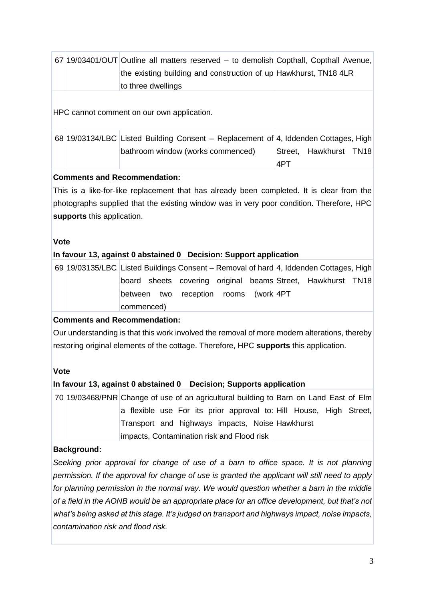|  | 67 19/03401/OUT Outline all matters reserved – to demolish Copthall, Copthall Avenue, |  |
|--|---------------------------------------------------------------------------------------|--|
|  | the existing building and construction of up Hawkhurst, TN18 4LR                      |  |
|  | to three dwellings                                                                    |  |

HPC cannot comment on our own application.

|  | 68 19/03134/LBC Listed Building Consent - Replacement of 4, Iddenden Cottages, High |      |                        |  |
|--|-------------------------------------------------------------------------------------|------|------------------------|--|
|  | bathroom window (works commenced)                                                   |      | Street, Hawkhurst TN18 |  |
|  |                                                                                     | ⊦4PT |                        |  |

## **Comments and Recommendation:**

This is a like-for-like replacement that has already been completed. It is clear from the photographs supplied that the existing window was in very poor condition. Therefore, HPC **supports** this application.

## **Vote**

## **In favour 13, against 0 abstained 0 Decision: Support application**

69 19/03135/LBC Listed Buildings Consent – Removal of hard 4, Iddenden Cottages, High board sheets covering original beams Street, Hawkhurst TN18 between two reception rooms (work 4PT commenced)

## **Comments and Recommendation:**

Our understanding is that this work involved the removal of more modern alterations, thereby restoring original elements of the cottage. Therefore, HPC **supports** this application.

## **Vote**

## **In favour 13, against 0 abstained 0 Decision; Supports application**

70 19/03468/PNR Change of use of an agricultural building to Barn on Land East of Elm a flexible use For its prior approval to: Hill House, High Street, Transport and highways impacts, Noise Hawkhurst impacts, Contamination risk and Flood risk

## **Background:**

*Seeking prior approval for change of use of a barn to office space. It is not planning permission. If the approval for change of use is granted the applicant will still need to apply for planning permission in the normal way. We would question whether a barn in the middle of a field in the AONB would be an appropriate place for an office development, but that's not what's being asked at this stage. It's judged on transport and highways impact, noise impacts, contamination risk and flood risk.*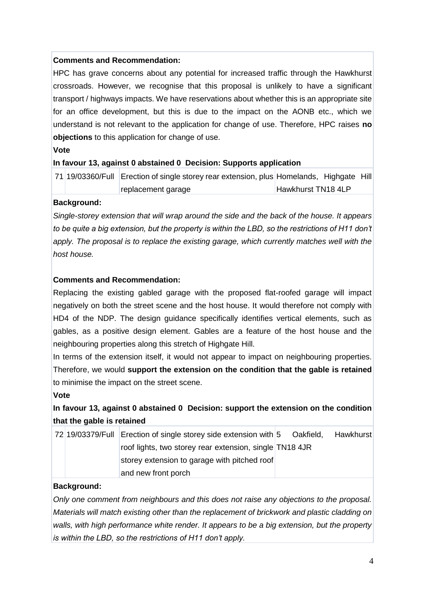## **Comments and Recommendation:**

HPC has grave concerns about any potential for increased traffic through the Hawkhurst crossroads. However, we recognise that this proposal is unlikely to have a significant transport / highways impacts. We have reservations about whether this is an appropriate site for an office development, but this is due to the impact on the AONB etc., which we understand is not relevant to the application for change of use. Therefore, HPC raises **no objections** to this application for change of use.

#### **Vote**

## **In favour 13, against 0 abstained 0 Decision: Supports application**

71 19/03360/Full Erection of single storey rear extension, plus Homelands, Highgate Hill replacement garage Hawkhurst TN18 4LP

## **Background:**

*Single-storey extension that will wrap around the side and the back of the house. It appears to be quite a big extension, but the property is within the LBD, so the restrictions of H11 don't apply. The proposal is to replace the existing garage, which currently matches well with the host house.*

## **Comments and Recommendation:**

Replacing the existing gabled garage with the proposed flat-roofed garage will impact negatively on both the street scene and the host house. It would therefore not comply with HD4 of the NDP. The design guidance specifically identifies vertical elements, such as gables, as a positive design element. Gables are a feature of the host house and the neighbouring properties along this stretch of Highgate Hill.

In terms of the extension itself, it would not appear to impact on neighbouring properties. Therefore, we would **support the extension on the condition that the gable is retained** to minimise the impact on the street scene.

#### **Vote**

## **In favour 13, against 0 abstained 0 Decision: support the extension on the condition that the gable is retained**

|  | 72 19/03379/Full Erection of single storey side extension with 5 Oakfield, |  | Hawkhurst |
|--|----------------------------------------------------------------------------|--|-----------|
|  | roof lights, two storey rear extension, single TN18 4JR                    |  |           |
|  | storey extension to garage with pitched roof                               |  |           |
|  | and new front porch                                                        |  |           |

#### **Background:**

*Only one comment from neighbours and this does not raise any objections to the proposal. Materials will match existing other than the replacement of brickwork and plastic cladding on walls, with high performance white render. It appears to be a big extension, but the property is within the LBD, so the restrictions of H11 don't apply.*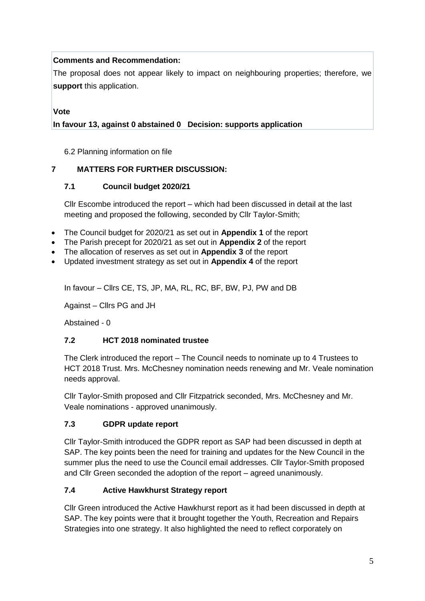## **Comments and Recommendation:**

The proposal does not appear likely to impact on neighbouring properties; therefore, we **support** this application.

## **Vote**

## **In favour 13, against 0 abstained 0 Decision: supports application**

6.2 Planning information on file

## **7 MATTERS FOR FURTHER DISCUSSION:**

## **7.1 Council budget 2020/21**

Cllr Escombe introduced the report – which had been discussed in detail at the last meeting and proposed the following, seconded by Cllr Taylor-Smith;

- The Council budget for 2020/21 as set out in **Appendix 1** of the report
- The Parish precept for 2020/21 as set out in **Appendix 2** of the report
- The allocation of reserves as set out in **Appendix 3** of the report
- Updated investment strategy as set out in **Appendix 4** of the report

In favour – Cllrs CE, TS, JP, MA, RL, RC, BF, BW, PJ, PW and DB

Against – Cllrs PG and JH

Abstained - 0

## **7.2 HCT 2018 nominated trustee**

The Clerk introduced the report – The Council needs to nominate up to 4 Trustees to HCT 2018 Trust. Mrs. McChesney nomination needs renewing and Mr. Veale nomination needs approval.

Cllr Taylor-Smith proposed and Cllr Fitzpatrick seconded, Mrs. McChesney and Mr. Veale nominations - approved unanimously.

## **7.3 GDPR update report**

Cllr Taylor-Smith introduced the GDPR report as SAP had been discussed in depth at SAP. The key points been the need for training and updates for the New Council in the summer plus the need to use the Council email addresses. Cllr Taylor-Smith proposed and Cllr Green seconded the adoption of the report – agreed unanimously.

## **7.4 Active Hawkhurst Strategy report**

Cllr Green introduced the Active Hawkhurst report as it had been discussed in depth at SAP. The key points were that it brought together the Youth, Recreation and Repairs Strategies into one strategy. It also highlighted the need to reflect corporately on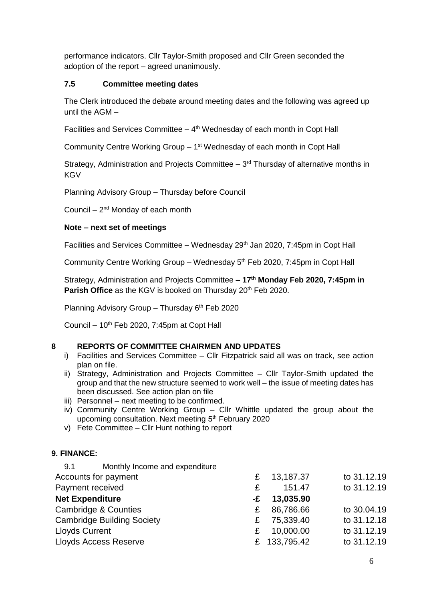performance indicators. Cllr Taylor-Smith proposed and Cllr Green seconded the adoption of the report – agreed unanimously.

## **7.5 Committee meeting dates**

The Clerk introduced the debate around meeting dates and the following was agreed up until the AGM –

Facilities and Services Committee  $-4$ <sup>th</sup> Wednesday of each month in Copt Hall

Community Centre Working Group - 1<sup>st</sup> Wednesday of each month in Copt Hall

Strategy, Administration and Projects Committee  $-3<sup>rd</sup>$  Thursday of alternative months in **KGV** 

Planning Advisory Group – Thursday before Council

Council  $-2^{nd}$  Monday of each month

## **Note – next set of meetings**

Facilities and Services Committee – Wednesday  $29<sup>th</sup>$  Jan 2020, 7:45pm in Copt Hall

Community Centre Working Group - Wednesday 5<sup>th</sup> Feb 2020, 7:45pm in Copt Hall

Strategy, Administration and Projects Committee **– 17th Monday Feb 2020, 7:45pm in Parish Office** as the KGV is booked on Thursday 20<sup>th</sup> Feb 2020.

Planning Advisory Group - Thursday 6<sup>th</sup> Feb 2020

Council –  $10<sup>th</sup>$  Feb 2020, 7:45pm at Copt Hall

#### **8 REPORTS OF COMMITTEE CHAIRMEN AND UPDATES**

- i) Facilities and Services Committee Cllr Fitzpatrick said all was on track, see action plan on file.
- ii) Strategy, Administration and Projects Committee Cllr Taylor-Smith updated the group and that the new structure seemed to work well – the issue of meeting dates has been discussed. See action plan on file
- iii) Personnel next meeting to be confirmed.
- iv) Community Centre Working Group Cllr Whittle updated the group about the upcoming consultation. Next meeting 5<sup>th</sup> February 2020
- v) Fete Committee Cllr Hunt nothing to report

#### **9. FINANCE:**

| £ | 13,187.37 | to 31.12.19        |
|---|-----------|--------------------|
| £ | 151.47    | to 31.12.19        |
|   | 13,035.90 |                    |
| £ | 86,786.66 | to 30.04.19        |
| £ | 75,339.40 | to 31.12.18        |
| £ | 10,000.00 | to 31.12.19        |
|   |           | to 31.12.19        |
|   |           | -£<br>£ 133,795.42 |